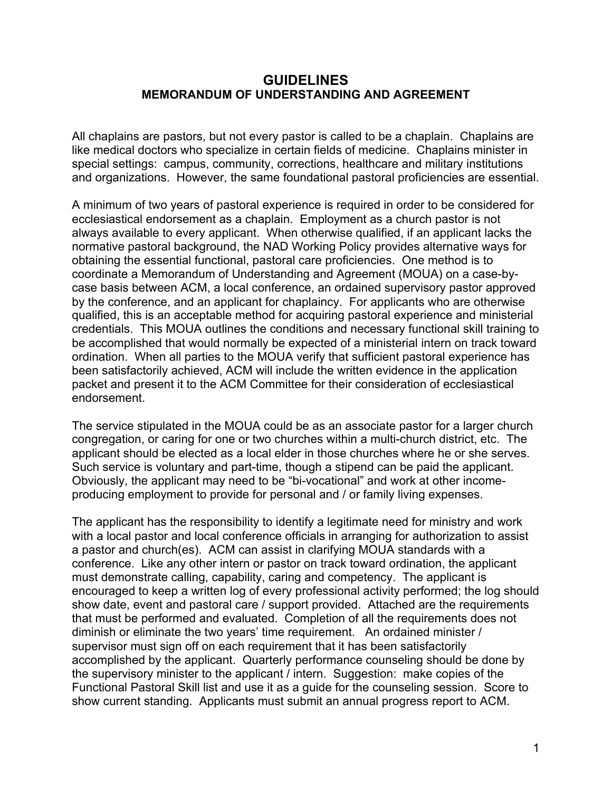#### **GUIDELINES MEMORANDUM OF UNDERSTANDING AND AGREEMENT**

All chaplains are pastors, but not every pastor is called to be a chaplain. Chaplains are like medical doctors who specialize in certain fields of medicine. Chaplains minister in special settings: campus, community, corrections, healthcare and military institutions and organizations. However, the same foundational pastoral proficiencies are essential.

A minimum of two years of pastoral experience is required in order to be considered for ecclesiastical endorsement as a chaplain. Employment as a church pastor is not always available to every applicant. When otherwise qualified, if an applicant lacks the normative pastoral background, the NAD Working Policy provides alternative ways for obtaining the essential functional, pastoral care proficiencies. One method is to coordinate a Memorandum of Understanding and Agreement (MOUA) on a case-bycase basis between ACM, a local conference, an ordained supervisory pastor approved by the conference, and an applicant for chaplaincy. For applicants who are otherwise qualified, this is an acceptable method for acquiring pastoral experience and ministerial credentials. This MOUA outlines the conditions and necessary functional skill training to be accomplished that would normally be expected of a ministerial intern on track toward ordination. When all parties to the MOUA verify that sufficient pastoral experience has been satisfactorily achieved, ACM will include the written evidence in the application packet and present it to the ACM Committee for their consideration of ecclesiastical endorsement.

The service stipulated in the MOUA could be as an associate pastor for a larger church congregation, or caring for one or two churches within a multi-church district, etc. The applicant should be elected as a local elder in those churches where he or she serves. Such service is voluntary and part-time, though a stipend can be paid the applicant. Obviously, the applicant may need to be "bi-vocational" and work at other incomeproducing employment to provide for personal and / or family living expenses.

The applicant has the responsibility to identify a legitimate need for ministry and work with a local pastor and local conference officials in arranging for authorization to assist a pastor and church(es). ACM can assist in clarifying MOUA standards with a conference. Like any other intern or pastor on track toward ordination, the applicant must demonstrate calling, capability, caring and competency. The applicant is encouraged to keep a written log of every professional activity performed; the log should show date, event and pastoral care / support provided. Attached are the requirements that must be performed and evaluated. Completion of all the requirements does not diminish or eliminate the two years' time requirement. An ordained minister / supervisor must sign off on each requirement that it has been satisfactorily accomplished by the applicant. Quarterly performance counseling should be done by the supervisory minister to the applicant / intern. Suggestion: make copies of the Functional Pastoral Skill list and use it as a guide for the counseling session. Score to show current standing. Applicants must submit an annual progress report to ACM.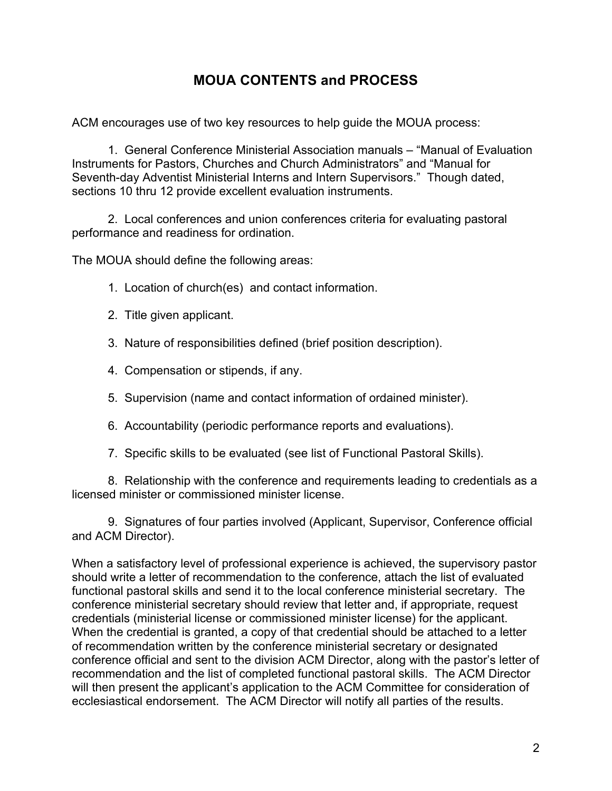# **MOUA CONTENTS and PROCESS**

ACM encourages use of two key resources to help guide the MOUA process:

1. General Conference Ministerial Association manuals – "Manual of Evaluation Instruments for Pastors, Churches and Church Administrators" and "Manual for Seventh-day Adventist Ministerial Interns and Intern Supervisors." Though dated, sections 10 thru 12 provide excellent evaluation instruments.

2. Local conferences and union conferences criteria for evaluating pastoral performance and readiness for ordination.

The MOUA should define the following areas:

- 1. Location of church(es) and contact information.
- 2. Title given applicant.
- 3. Nature of responsibilities defined (brief position description).
- 4. Compensation or stipends, if any.
- 5. Supervision (name and contact information of ordained minister).
- 6. Accountability (periodic performance reports and evaluations).
- 7. Specific skills to be evaluated (see list of Functional Pastoral Skills).

8. Relationship with the conference and requirements leading to credentials as a licensed minister or commissioned minister license.

9. Signatures of four parties involved (Applicant, Supervisor, Conference official and ACM Director).

When a satisfactory level of professional experience is achieved, the supervisory pastor should write a letter of recommendation to the conference, attach the list of evaluated functional pastoral skills and send it to the local conference ministerial secretary. The conference ministerial secretary should review that letter and, if appropriate, request credentials (ministerial license or commissioned minister license) for the applicant. When the credential is granted, a copy of that credential should be attached to a letter of recommendation written by the conference ministerial secretary or designated conference official and sent to the division ACM Director, along with the pastor's letter of recommendation and the list of completed functional pastoral skills. The ACM Director will then present the applicant's application to the ACM Committee for consideration of ecclesiastical endorsement. The ACM Director will notify all parties of the results.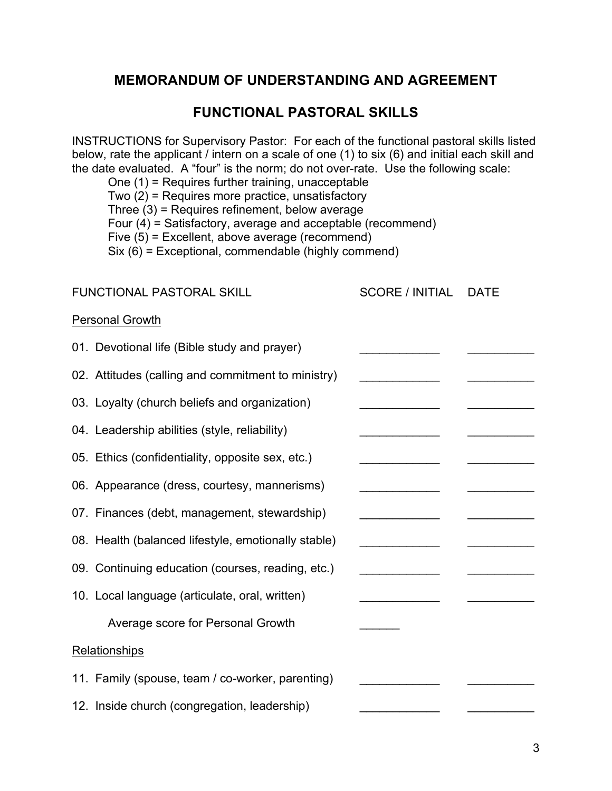### **MEMORANDUM OF UNDERSTANDING AND AGREEMENT**

### **FUNCTIONAL PASTORAL SKILLS**

INSTRUCTIONS for Supervisory Pastor: For each of the functional pastoral skills listed below, rate the applicant / intern on a scale of one (1) to six (6) and initial each skill and the date evaluated. A "four" is the norm; do not over-rate. Use the following scale:

One (1) = Requires further training, unacceptable Two  $(2)$  = Requires more practice, unsatisfactory Three (3) = Requires refinement, below average Four  $(4)$  = Satisfactory, average and acceptable (recommend) Five (5) = Excellent, above average (recommend) Six  $(6)$  = Exceptional, commendable (highly commend)

| <b>FUNCTIONAL PASTORAL SKILL</b> |                                                     | <b>SCORE / INITIAL</b>                  | <b>DATE</b> |
|----------------------------------|-----------------------------------------------------|-----------------------------------------|-------------|
| <b>Personal Growth</b>           |                                                     |                                         |             |
|                                  | 01. Devotional life (Bible study and prayer)        |                                         |             |
|                                  | 02. Attitudes (calling and commitment to ministry)  | <u> 1990 - Johann Barbara, martin a</u> |             |
|                                  | 03. Loyalty (church beliefs and organization)       |                                         |             |
|                                  | 04. Leadership abilities (style, reliability)       |                                         |             |
|                                  | 05. Ethics (confidentiality, opposite sex, etc.)    |                                         |             |
|                                  | 06. Appearance (dress, courtesy, mannerisms)        |                                         |             |
|                                  | 07. Finances (debt, management, stewardship)        |                                         |             |
|                                  | 08. Health (balanced lifestyle, emotionally stable) |                                         |             |
|                                  | 09. Continuing education (courses, reading, etc.)   |                                         |             |
|                                  | 10. Local language (articulate, oral, written)      |                                         |             |
|                                  | Average score for Personal Growth                   |                                         |             |
|                                  | Relationships                                       |                                         |             |
|                                  | 11. Family (spouse, team / co-worker, parenting)    |                                         |             |
|                                  | 12. Inside church (congregation, leadership)        |                                         |             |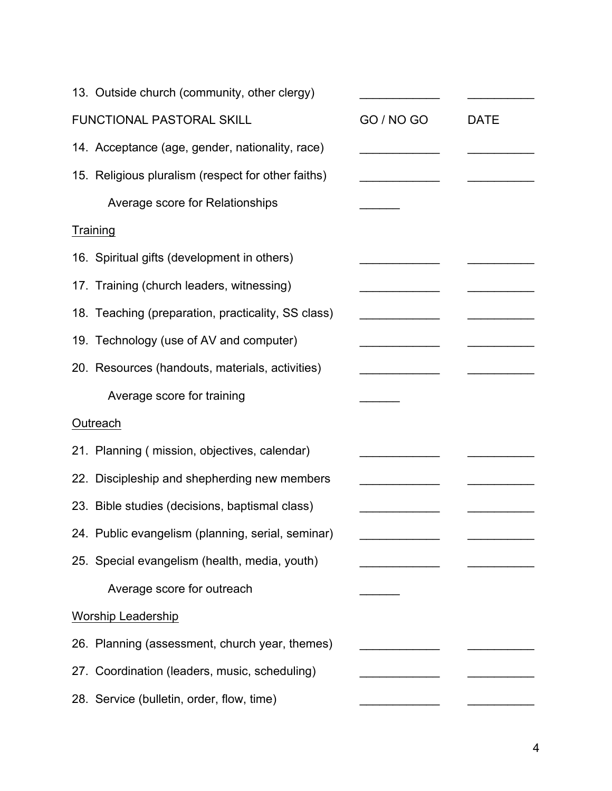| 13. Outside church (community, other clergy)       |            |             |
|----------------------------------------------------|------------|-------------|
| FUNCTIONAL PASTORAL SKILL                          | GO / NO GO | <b>DATE</b> |
| 14. Acceptance (age, gender, nationality, race)    |            |             |
| 15. Religious pluralism (respect for other faiths) |            |             |
| Average score for Relationships                    |            |             |
| Training                                           |            |             |
| 16. Spiritual gifts (development in others)        |            |             |
| 17. Training (church leaders, witnessing)          |            |             |
| 18. Teaching (preparation, practicality, SS class) |            |             |
| 19. Technology (use of AV and computer)            |            |             |
| 20. Resources (handouts, materials, activities)    |            |             |
| Average score for training                         |            |             |
| Outreach                                           |            |             |
| 21. Planning (mission, objectives, calendar)       |            |             |
| 22. Discipleship and shepherding new members       |            |             |
| 23. Bible studies (decisions, baptismal class)     |            |             |
| 24. Public evangelism (planning, serial, seminar)  |            |             |
| 25. Special evangelism (health, media, youth)      |            |             |
| Average score for outreach                         |            |             |
| <b>Worship Leadership</b>                          |            |             |
| 26. Planning (assessment, church year, themes)     |            |             |
| 27. Coordination (leaders, music, scheduling)      |            |             |
| 28. Service (bulletin, order, flow, time)          |            |             |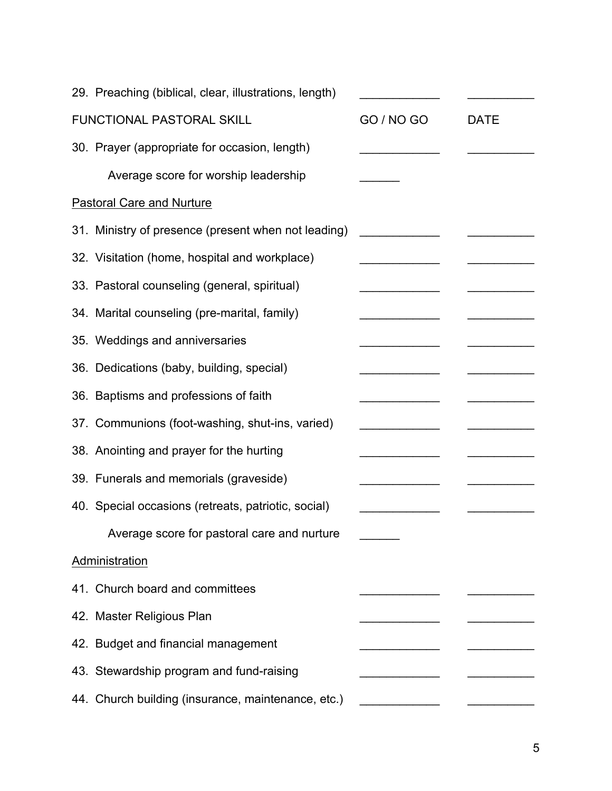|                           | 29. Preaching (biblical, clear, illustrations, length) |            |             |
|---------------------------|--------------------------------------------------------|------------|-------------|
| FUNCTIONAL PASTORAL SKILL |                                                        | GO / NO GO | <b>DATE</b> |
|                           | 30. Prayer (appropriate for occasion, length)          |            |             |
|                           | Average score for worship leadership                   |            |             |
|                           | <b>Pastoral Care and Nurture</b>                       |            |             |
|                           | 31. Ministry of presence (present when not leading)    |            |             |
|                           | 32. Visitation (home, hospital and workplace)          |            |             |
|                           | 33. Pastoral counseling (general, spiritual)           |            |             |
|                           | 34. Marital counseling (pre-marital, family)           |            |             |
|                           | 35. Weddings and anniversaries                         |            |             |
|                           | 36. Dedications (baby, building, special)              |            |             |
|                           | 36. Baptisms and professions of faith                  |            |             |
|                           | 37. Communions (foot-washing, shut-ins, varied)        |            |             |
|                           | 38. Anointing and prayer for the hurting               |            |             |
|                           | 39. Funerals and memorials (graveside)                 |            |             |
|                           | 40. Special occasions (retreats, patriotic, social)    |            |             |
|                           | Average score for pastoral care and nurture            |            |             |
|                           | Administration                                         |            |             |
|                           | 41. Church board and committees                        |            |             |
|                           | 42. Master Religious Plan                              |            |             |
|                           | 42. Budget and financial management                    |            |             |
|                           | 43. Stewardship program and fund-raising               |            |             |
|                           | 44. Church building (insurance, maintenance, etc.)     |            |             |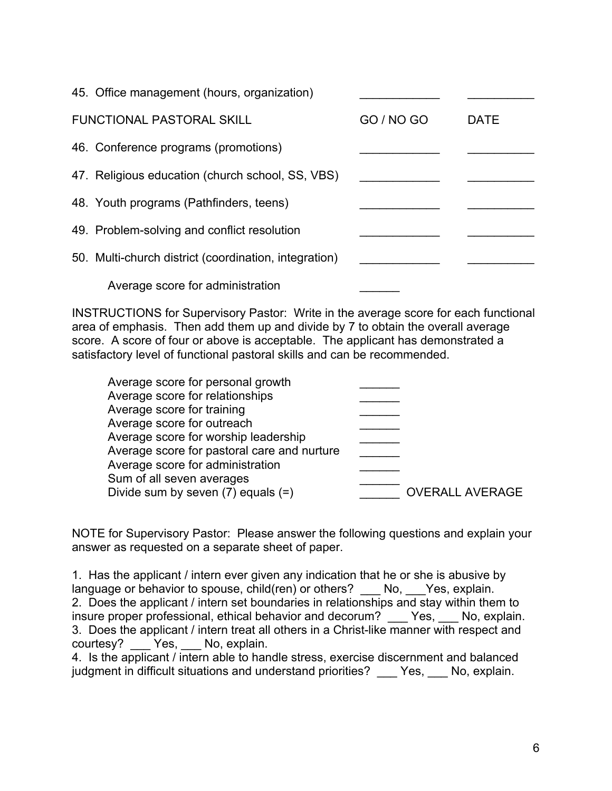| 45. Office management (hours, organization)           |            |             |
|-------------------------------------------------------|------------|-------------|
| <b>FUNCTIONAL PASTORAL SKILL</b>                      | GO / NO GO | <b>DATE</b> |
| 46. Conference programs (promotions)                  |            |             |
| 47. Religious education (church school, SS, VBS)      |            |             |
| 48. Youth programs (Pathfinders, teens)               |            |             |
| 49. Problem-solving and conflict resolution           |            |             |
| 50. Multi-church district (coordination, integration) |            |             |
| Average score for administration                      |            |             |

INSTRUCTIONS for Supervisory Pastor: Write in the average score for each functional area of emphasis. Then add them up and divide by 7 to obtain the overall average score. A score of four or above is acceptable. The applicant has demonstrated a satisfactory level of functional pastoral skills and can be recommended.

| Average score for personal growth           |                        |
|---------------------------------------------|------------------------|
| Average score for relationships             |                        |
| Average score for training                  |                        |
| Average score for outreach                  |                        |
| Average score for worship leadership        |                        |
| Average score for pastoral care and nurture |                        |
| Average score for administration            |                        |
| Sum of all seven averages                   |                        |
| Divide sum by seven $(7)$ equals $(=)$      | <b>OVERALL AVERAGE</b> |
|                                             |                        |

NOTE for Supervisory Pastor: Please answer the following questions and explain your answer as requested on a separate sheet of paper.

1. Has the applicant / intern ever given any indication that he or she is abusive by language or behavior to spouse, child(ren) or others? No, Yes, explain. 2. Does the applicant / intern set boundaries in relationships and stay within them to insure proper professional, ethical behavior and decorum? \_\_\_ Yes, \_\_\_ No, explain. 3. Does the applicant / intern treat all others in a Christ-like manner with respect and courtesy? Yes, No, explain.

4. Is the applicant / intern able to handle stress, exercise discernment and balanced judgment in difficult situations and understand priorities? Yes, No, explain.